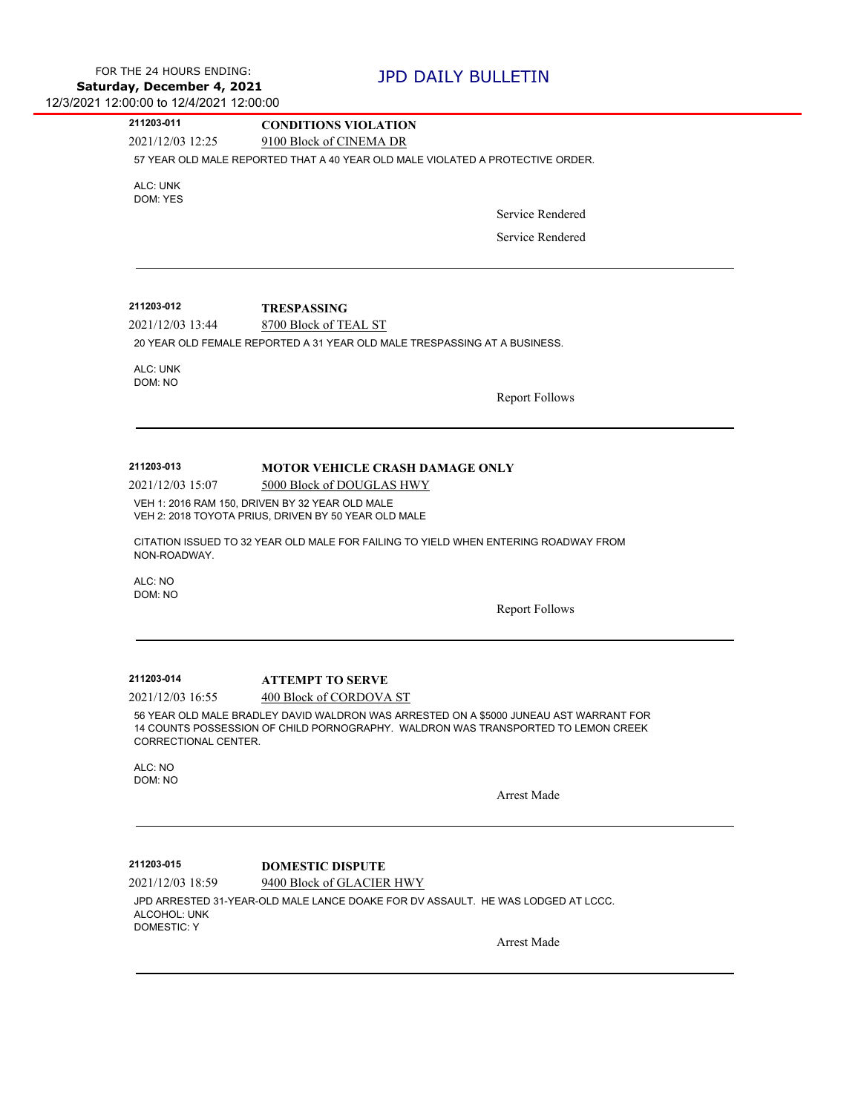| 211203-011                                                           | <b>CONDITIONS VIOLATION</b>                                                                                                                                                 |
|----------------------------------------------------------------------|-----------------------------------------------------------------------------------------------------------------------------------------------------------------------------|
| 2021/12/03 12:25                                                     | 9100 Block of CINEMA DR                                                                                                                                                     |
|                                                                      | 57 YEAR OLD MALE REPORTED THAT A 40 YEAR OLD MALE VIOLATED A PROTECTIVE ORDER.                                                                                              |
| ALC: UNK                                                             |                                                                                                                                                                             |
| DOM: YES                                                             | Service Rendered                                                                                                                                                            |
|                                                                      |                                                                                                                                                                             |
|                                                                      | Service Rendered                                                                                                                                                            |
|                                                                      |                                                                                                                                                                             |
|                                                                      |                                                                                                                                                                             |
| 211203-012                                                           | <b>TRESPASSING</b>                                                                                                                                                          |
| 2021/12/03 13:44                                                     | 8700 Block of TEAL ST                                                                                                                                                       |
|                                                                      | 20 YEAR OLD FEMALE REPORTED A 31 YEAR OLD MALE TRESPASSING AT A BUSINESS.                                                                                                   |
| ALC: UNK                                                             |                                                                                                                                                                             |
| DOM: NO                                                              |                                                                                                                                                                             |
|                                                                      | <b>Report Follows</b>                                                                                                                                                       |
|                                                                      |                                                                                                                                                                             |
|                                                                      |                                                                                                                                                                             |
| 211203-013                                                           | <b>MOTOR VEHICLE CRASH DAMAGE ONLY</b>                                                                                                                                      |
| 2021/12/03 15:07                                                     | 5000 Block of DOUGLAS HWY                                                                                                                                                   |
|                                                                      |                                                                                                                                                                             |
|                                                                      | VEH 1: 2016 RAM 150, DRIVEN BY 32 YEAR OLD MALE                                                                                                                             |
|                                                                      | VEH 2: 2018 TOYOTA PRIUS, DRIVEN BY 50 YEAR OLD MALE                                                                                                                        |
| NON-ROADWAY.                                                         | CITATION ISSUED TO 32 YEAR OLD MALE FOR FAILING TO YIELD WHEN ENTERING ROADWAY FROM                                                                                         |
| ALC: NO                                                              |                                                                                                                                                                             |
| DOM: NO                                                              |                                                                                                                                                                             |
|                                                                      | <b>Report Follows</b>                                                                                                                                                       |
|                                                                      |                                                                                                                                                                             |
|                                                                      |                                                                                                                                                                             |
|                                                                      | <b>ATTEMPT TO SERVE</b>                                                                                                                                                     |
|                                                                      | 400 Block of CORDOVA ST                                                                                                                                                     |
| 211203-014<br>2021/12/03 16:55<br>CORRECTIONAL CENTER.               | 56 YEAR OLD MALE BRADLEY DAVID WALDRON WAS ARRESTED ON A \$5000 JUNEAU AST WARRANT FOR<br>14 COUNTS POSSESSION OF CHILD PORNOGRAPHY. WALDRON WAS TRANSPORTED TO LEMON CREEK |
| ALC: NO                                                              |                                                                                                                                                                             |
| DOM: NO                                                              |                                                                                                                                                                             |
|                                                                      | <b>Arrest Made</b>                                                                                                                                                          |
|                                                                      |                                                                                                                                                                             |
|                                                                      |                                                                                                                                                                             |
|                                                                      | <b>DOMESTIC DISPUTE</b>                                                                                                                                                     |
|                                                                      | 9400 Block of GLACIER HWY                                                                                                                                                   |
| 211203-015<br>2021/12/03 18:59<br>ALCOHOL: UNK<br><b>DOMESTIC: Y</b> | JPD ARRESTED 31-YEAR-OLD MALE LANCE DOAKE FOR DV ASSAULT. HE WAS LODGED AT LCCC.                                                                                            |